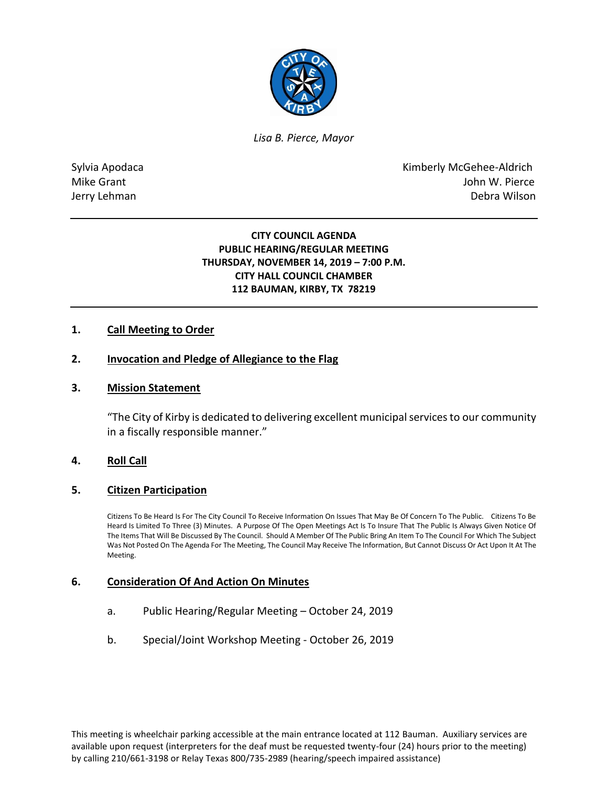

*Lisa B. Pierce, Mayor* 

Sylvia Apodaca National According Control of American Control of Kimberly McGehee-Aldrich Mike Grant **Mike Grant** John W. Pierce Jerry Lehman Debra Wilson

## **CITY COUNCIL AGENDA PUBLIC HEARING/REGULAR MEETING THURSDAY, NOVEMBER 14, 2019 – 7:00 P.M. CITY HALL COUNCIL CHAMBER 112 BAUMAN, KIRBY, TX 78219**

## **1. Call Meeting to Order**

## **2. Invocation and Pledge of Allegiance to the Flag**

#### **3. Mission Statement**

"The City of Kirby is dedicated to delivering excellent municipal services to our community in a fiscally responsible manner."

## **4. Roll Call**

#### **5. Citizen Participation**

Citizens To Be Heard Is For The City Council To Receive Information On Issues That May Be Of Concern To The Public. Citizens To Be Heard Is Limited To Three (3) Minutes. A Purpose Of The Open Meetings Act Is To Insure That The Public Is Always Given Notice Of The Items That Will Be Discussed By The Council. Should A Member Of The Public Bring An Item To The Council For Which The Subject Was Not Posted On The Agenda For The Meeting, The Council May Receive The Information, But Cannot Discuss Or Act Upon It At The Meeting.

#### **6. Consideration Of And Action On Minutes**

- a. Public Hearing/Regular Meeting October 24, 2019
- b. Special/Joint Workshop Meeting October 26, 2019

This meeting is wheelchair parking accessible at the main entrance located at 112 Bauman. Auxiliary services are available upon request (interpreters for the deaf must be requested twenty-four (24) hours prior to the meeting) by calling 210/661-3198 or Relay Texas 800/735-2989 (hearing/speech impaired assistance)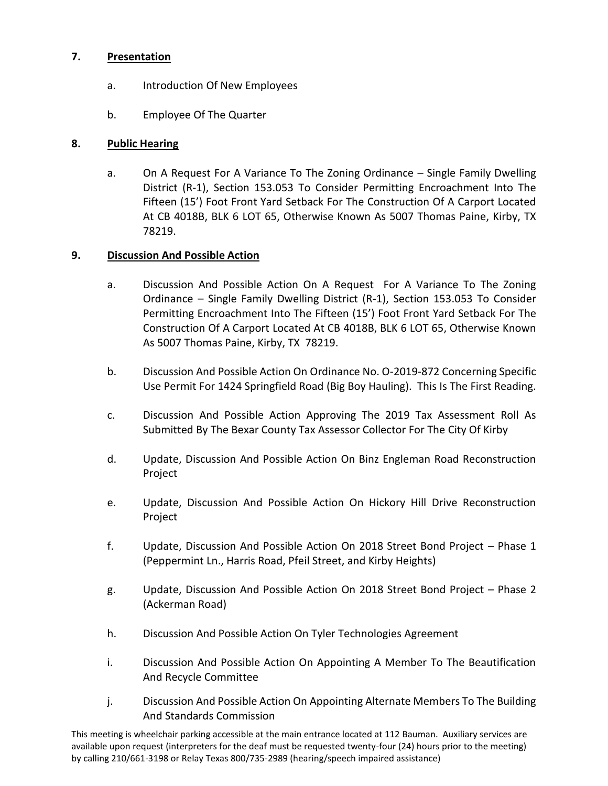# **7. Presentation**

- a. Introduction Of New Employees
- b. Employee Of The Quarter

## **8. Public Hearing**

a. On A Request For A Variance To The Zoning Ordinance – Single Family Dwelling District (R-1), Section 153.053 To Consider Permitting Encroachment Into The Fifteen (15') Foot Front Yard Setback For The Construction Of A Carport Located At CB 4018B, BLK 6 LOT 65, Otherwise Known As 5007 Thomas Paine, Kirby, TX 78219.

# **9. Discussion And Possible Action**

- a. Discussion And Possible Action On A Request For A Variance To The Zoning Ordinance – Single Family Dwelling District (R-1), Section 153.053 To Consider Permitting Encroachment Into The Fifteen (15') Foot Front Yard Setback For The Construction Of A Carport Located At CB 4018B, BLK 6 LOT 65, Otherwise Known As 5007 Thomas Paine, Kirby, TX 78219.
- b. Discussion And Possible Action On Ordinance No. O-2019-872 Concerning Specific Use Permit For 1424 Springfield Road (Big Boy Hauling). This Is The First Reading.
- c. Discussion And Possible Action Approving The 2019 Tax Assessment Roll As Submitted By The Bexar County Tax Assessor Collector For The City Of Kirby
- d. Update, Discussion And Possible Action On Binz Engleman Road Reconstruction Project
- e. Update, Discussion And Possible Action On Hickory Hill Drive Reconstruction Project
- f. Update, Discussion And Possible Action On 2018 Street Bond Project Phase 1 (Peppermint Ln., Harris Road, Pfeil Street, and Kirby Heights)
- g. Update, Discussion And Possible Action On 2018 Street Bond Project Phase 2 (Ackerman Road)
- h. Discussion And Possible Action On Tyler Technologies Agreement
- i. Discussion And Possible Action On Appointing A Member To The Beautification And Recycle Committee
- j. Discussion And Possible Action On Appointing Alternate Members To The Building And Standards Commission

This meeting is wheelchair parking accessible at the main entrance located at 112 Bauman. Auxiliary services are available upon request (interpreters for the deaf must be requested twenty-four (24) hours prior to the meeting) by calling 210/661-3198 or Relay Texas 800/735-2989 (hearing/speech impaired assistance)